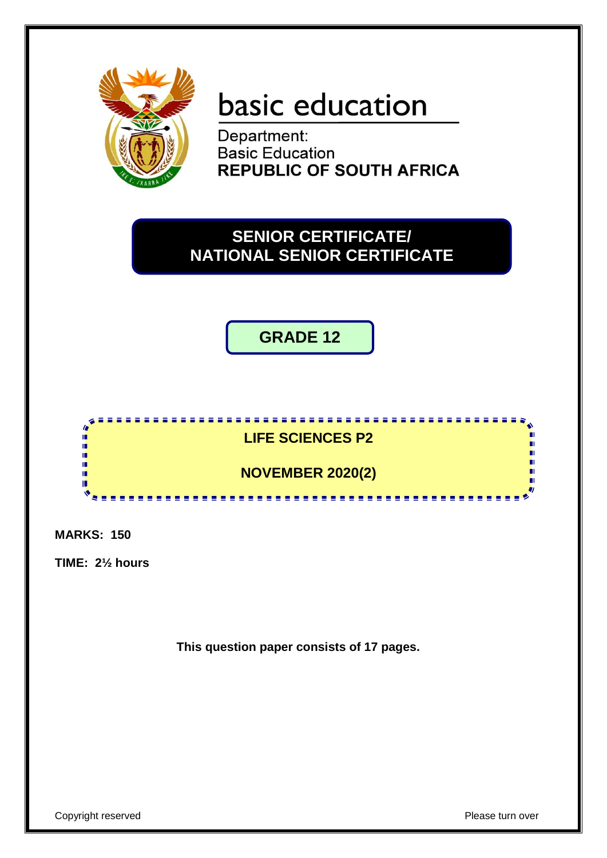

# basic education

Department: **Basic Education REPUBLIC OF SOUTH AFRICA** 

# **SENIOR CERTIFICATE/ NATIONAL SENIOR CERTIFICATE**

**GRADE 12**



**MARKS: 150**

**TIME: 2½ hours**

**This question paper consists of 17 pages.**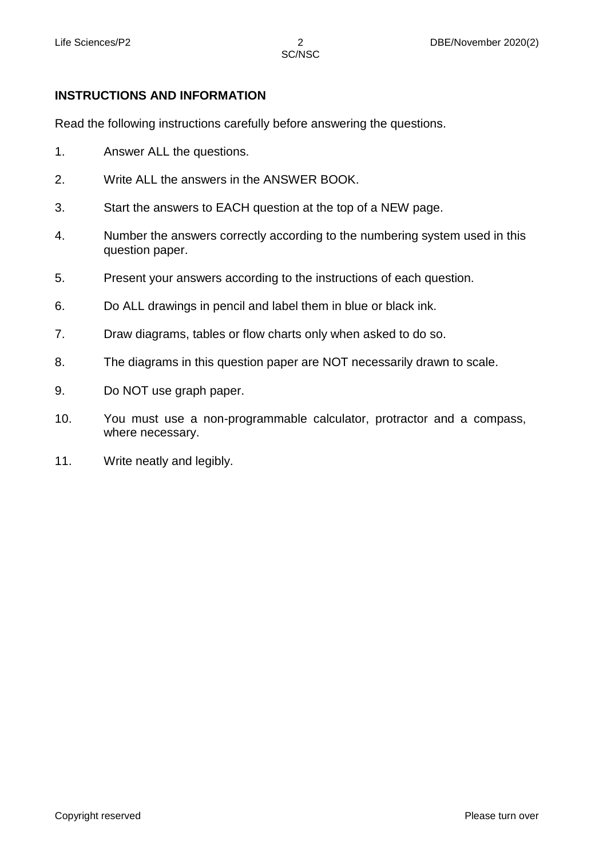# **INSTRUCTIONS AND INFORMATION**

Read the following instructions carefully before answering the questions.

- 1. Answer ALL the questions.
- 2. Write ALL the answers in the ANSWER BOOK.
- 3. Start the answers to EACH question at the top of a NEW page.
- 4. Number the answers correctly according to the numbering system used in this question paper.
- 5. Present your answers according to the instructions of each question.
- 6. Do ALL drawings in pencil and label them in blue or black ink.
- 7. Draw diagrams, tables or flow charts only when asked to do so.
- 8. The diagrams in this question paper are NOT necessarily drawn to scale.
- 9. Do NOT use graph paper.
- 10. You must use a non-programmable calculator, protractor and a compass, where necessary.
- 11. Write neatly and legibly.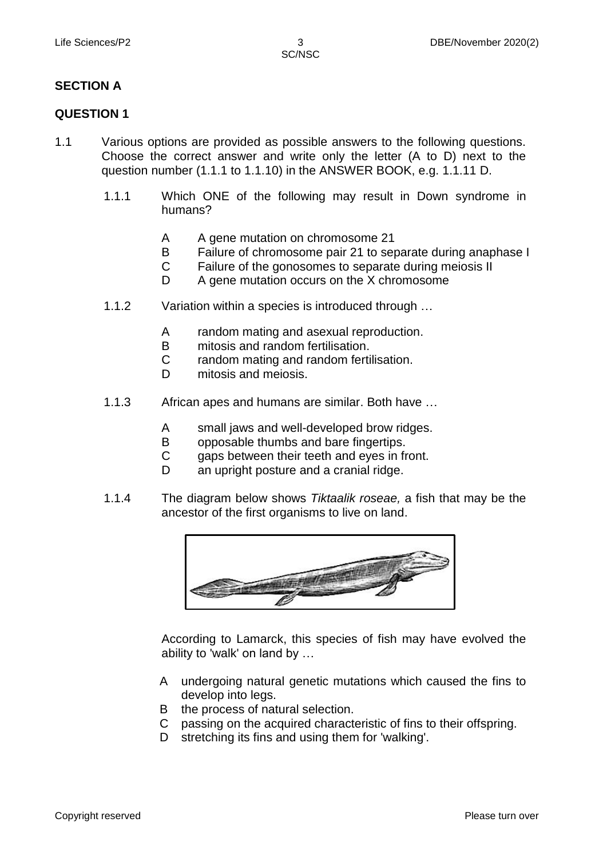## **SECTION A**

#### **QUESTION 1**

- 1.1 Various options are provided as possible answers to the following questions. Choose the correct answer and write only the letter (A to D) next to the question number (1.1.1 to 1.1.10) in the ANSWER BOOK, e.g. 1.1.11 D.
	- 1.1.1 Which ONE of the following may result in Down syndrome in humans?
		- A A gene mutation on chromosome 21
		- B Failure of chromosome pair 21 to separate during anaphase I
		- $\mathcal{C}$ Failure of the gonosomes to separate during meiosis II
		- D. A gene mutation occurs on the X chromosome
	- 1.1.2 Variation within a species is introduced through …
		- A random mating and asexual reproduction.
		- B mitosis and random fertilisation.
		- $\mathcal{C}$ random mating and random fertilisation.
		- D mitosis and meiosis.
	- 1.1.3 African apes and humans are similar. Both have …
		- A small jaws and well-developed brow ridges.
		- B opposable thumbs and bare fingertips.
		- C gaps between their teeth and eyes in front.
		- D an upright posture and a cranial ridge.
	- 1.1.4 The diagram below shows *Tiktaalik roseae,* a fish that may be the ancestor of the first organisms to live on land.



According to Lamarck, this species of fish may have evolved the ability to 'walk' on land by …

- A undergoing natural genetic mutations which caused the fins to develop into legs.
- B the process of natural selection.
- C passing on the acquired characteristic of fins to their offspring.
- D stretching its fins and using them for 'walking'.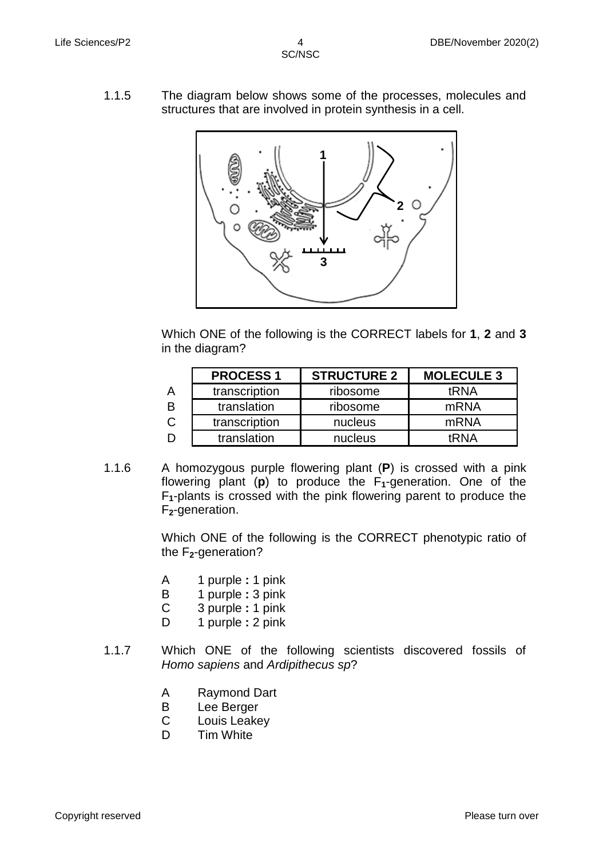1.1.5 The diagram below shows some of the processes, molecules and structures that are involved in protein synthesis in a cell.



Which ONE of the following is the CORRECT labels for **1**, **2** and **3** in the diagram?

|   | <b>PROCESS1</b> | <b>STRUCTURE 2</b> | <b>MOLECULE 3</b> |
|---|-----------------|--------------------|-------------------|
|   | transcription   | ribosome           | tRNA              |
|   | translation     | ribosome           | mRNA              |
| C | transcription   | nucleus            | mRNA              |
|   | translation     | nucleus            | tRNA              |

1.1.6 A homozygous purple flowering plant (**P**) is crossed with a pink flowering plant (**p**) to produce the F**1**-generation. One of the F**1**-plants is crossed with the pink flowering parent to produce the F**2**-generation.

> Which ONE of the following is the CORRECT phenotypic ratio of the F**2**-generation?

- A 1 purple **:** 1 pink
- B 1 purple **:** 3 pink
- C 3 purple **:** 1 pink
- D 1 purple **:** 2 pink
- 1.1.7 Which ONE of the following scientists discovered fossils of *Homo sapiens* and *Ardipithecus sp*?
	- A Raymond Dart
	- B Lee Berger
	- $\mathcal{C}$ Louis Leakey
	- D. Tim White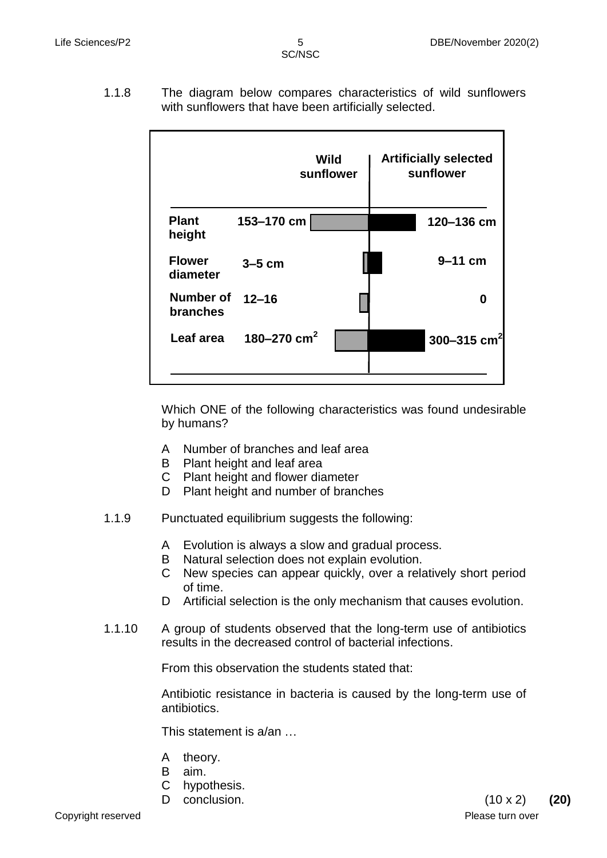1.1.8 The diagram below compares characteristics of wild sunflowers with sunflowers that have been artificially selected.

|                              |               | Wild<br>sunflower | <b>Artificially selected</b><br>sunflower |
|------------------------------|---------------|-------------------|-------------------------------------------|
| <b>Plant</b><br>height       | 153-170 cm    |                   | 120-136 cm                                |
| <b>Flower</b><br>diameter    | $3-5$ cm      |                   | $9-11$ cm                                 |
| <b>Number of</b><br>branches | $12 - 16$     |                   | 0                                         |
| Leaf area                    | 180-270 $cm2$ |                   | 300-315 cm <sup>2</sup>                   |

Which ONE of the following characteristics was found undesirable by humans?

- A Number of branches and leaf area
- B Plant height and leaf area
- C Plant height and flower diameter
- D Plant height and number of branches
- 1.1.9 Punctuated equilibrium suggests the following:
	- A Evolution is always a slow and gradual process.
	- B Natural selection does not explain evolution.
	- C New species can appear quickly, over a relatively short period of time.
	- D Artificial selection is the only mechanism that causes evolution.
- 1.1.10 A group of students observed that the long-term use of antibiotics results in the decreased control of bacterial infections.

From this observation the students stated that:

Antibiotic resistance in bacteria is caused by the long-term use of antibiotics.

This statement is a/an …

- A theory.
- B aim.
- C hypothesis.
-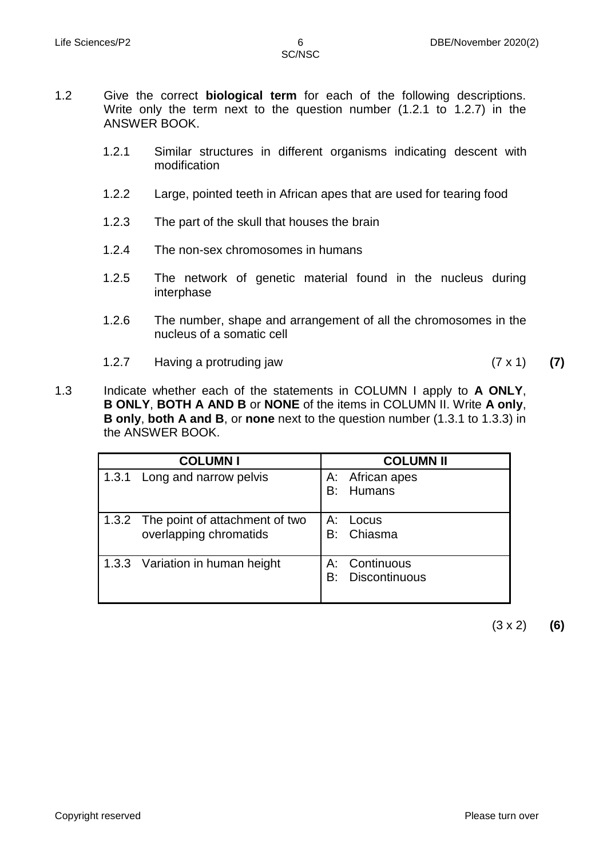- 1.2 Give the correct **biological term** for each of the following descriptions. Write only the term next to the question number (1.2.1 to 1.2.7) in the ANSWER BOOK.
	- 1.2.1 Similar structures in different organisms indicating descent with modification
	- 1.2.2 Large, pointed teeth in African apes that are used for tearing food
	- 1.2.3 The part of the skull that houses the brain
	- 1.2.4 The non-sex chromosomes in humans
	- 1.2.5 The network of genetic material found in the nucleus during interphase
	- 1.2.6 The number, shape and arrangement of all the chromosomes in the nucleus of a somatic cell
	- 1.2.7 Having a protruding jaw (7 x 1) **(7)**

1.3 Indicate whether each of the statements in COLUMN I apply to **A ONLY**, **B ONLY**, **BOTH A AND B** or **NONE** of the items in COLUMN II. Write **A only**, **B only**, **both A and B**, or **none** next to the question number (1.3.1 to 1.3.3) in the ANSWER BOOK.

| <b>COLUMNI</b>                                                 |          | <b>COLUMN II</b>                      |
|----------------------------------------------------------------|----------|---------------------------------------|
| 1.3.1 Long and narrow pelvis                                   | А:<br>B۰ | African apes<br><b>Humans</b>         |
| 1.3.2 The point of attachment of two<br>overlapping chromatids | A:<br>B: | Locus<br>Chiasma                      |
| 1.3.3 Variation in human height                                | B:       | A: Continuous<br><b>Discontinuous</b> |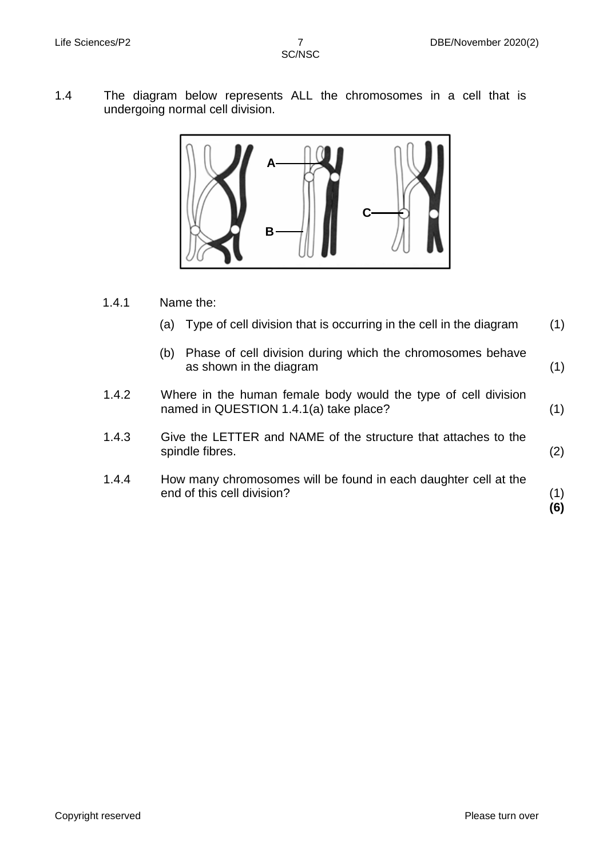1.4 The diagram below represents ALL the chromosomes in a cell that is undergoing normal cell division.



- 1.4.1 Name the:
	- (a) Type of cell division that is occurring in the cell in the diagram (1)
	- (b) Phase of cell division during which the chromosomes behave as shown in the diagram (1)
- 1.4.2 Where in the human female body would the type of cell division named in QUESTION 1.4.1(a) take place? (1)
- 1.4.3 Give the LETTER and NAME of the structure that attaches to the spindle fibres. (2)
- 1.4.4 How many chromosomes will be found in each daughter cell at the end of this cell division?

(1) **(6)**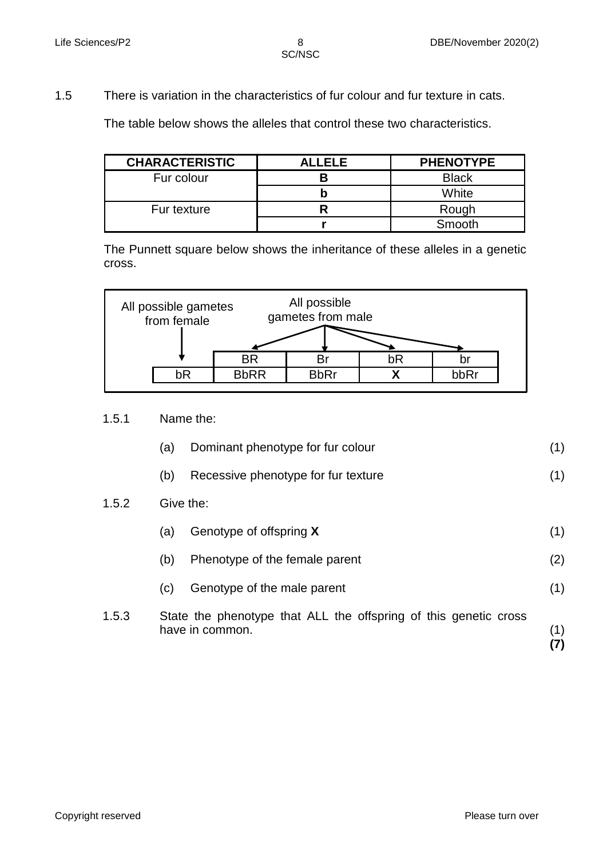1.5 There is variation in the characteristics of fur colour and fur texture in cats.

The table below shows the alleles that control these two characteristics.

| <b>CHARACTERISTIC</b> | <b>ALLELE</b> | <b>PHENOTYPE</b> |
|-----------------------|---------------|------------------|
| Fur colour            |               | <b>Black</b>     |
|                       |               | White            |
| Fur texture           |               | Rough            |
|                       |               | Smooth           |

The Punnett square below shows the inheritance of these alleles in a genetic cross.



- 1.5.1 Name the:
	- (a) Dominant phenotype for fur colour (1)
	- (b) Recessive phenotype for fur texture (1)

#### 1.5.2 Give the:

|       | (a) | Genotype of offspring X                                                             | (1) |
|-------|-----|-------------------------------------------------------------------------------------|-----|
|       | (b) | Phenotype of the female parent                                                      | (2) |
|       | (c) | Genotype of the male parent                                                         | (1) |
| 1.5.3 |     | State the phenotype that ALL the offspring of this genetic cross<br>have in common. |     |

**(7)**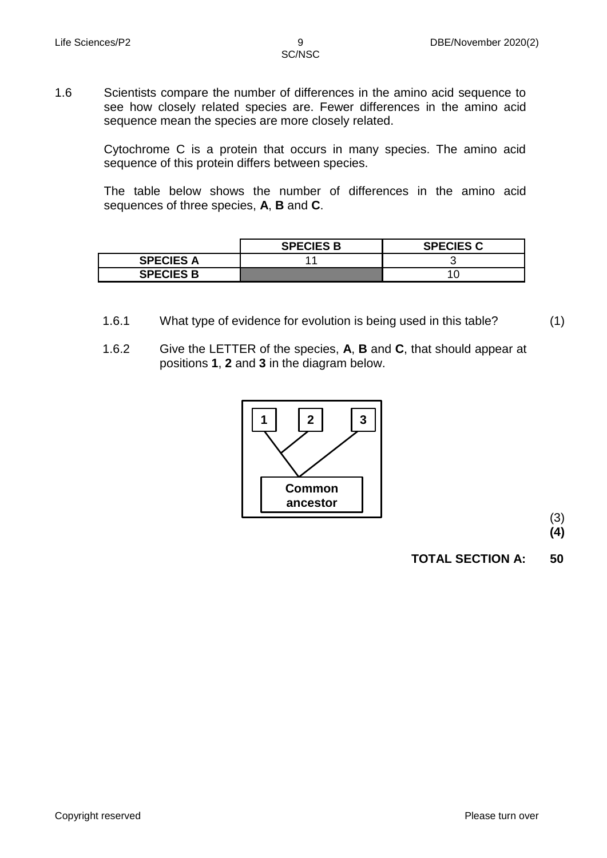1.6 Scientists compare the number of differences in the amino acid sequence to see how closely related species are. Fewer differences in the amino acid sequence mean the species are more closely related.

> Cytochrome C is a protein that occurs in many species. The amino acid sequence of this protein differs between species.

> The table below shows the number of differences in the amino acid sequences of three species, **A**, **B** and **C**.

|                  | <b>SPECIES B</b> | <b>SPECIES C</b> |
|------------------|------------------|------------------|
| <b>SPECIES A</b> |                  |                  |
| <b>SPECIES B</b> |                  |                  |

- 1.6.1 What type of evidence for evolution is being used in this table?
- 1.6.2 Give the LETTER of the species, **A**, **B** and **C**, that should appear at positions **1**, **2** and **3** in the diagram below.



(3)

(1)

**(4)**

**TOTAL SECTION A: 50**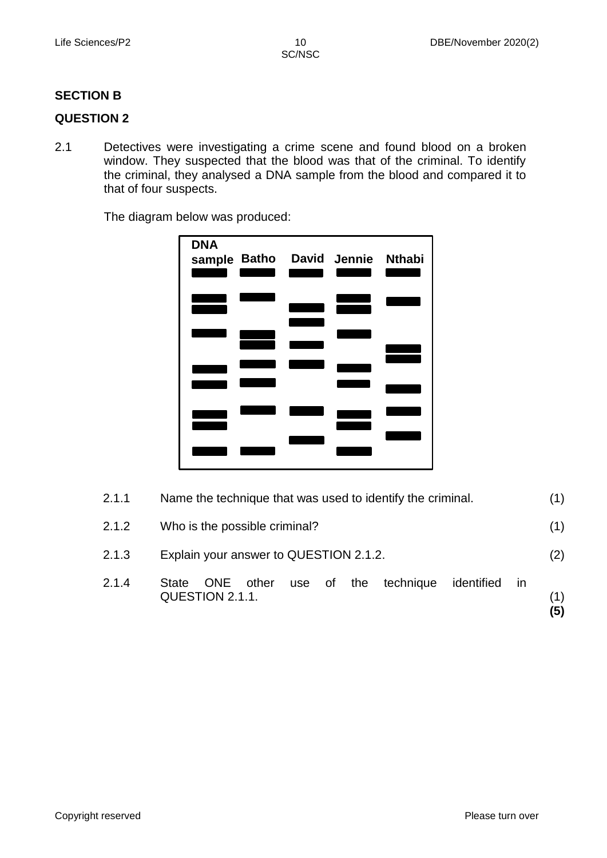# **SECTION B**

## **QUESTION 2**

2.1 Detectives were investigating a crime scene and found blood on a broken window. They suspected that the blood was that of the criminal. To identify the criminal, they analysed a DNA sample from the blood and compared it to that of four suspects.

The diagram below was produced:

| <b>DNA</b> |  | sample Batho David Jennie Nthabi |  |
|------------|--|----------------------------------|--|
|            |  |                                  |  |
|            |  |                                  |  |
|            |  |                                  |  |
|            |  |                                  |  |
|            |  |                                  |  |

| 2.1.1 | Name the technique that was used to identify the criminal.                                   | (1)        |
|-------|----------------------------------------------------------------------------------------------|------------|
| 2.1.2 | Who is the possible criminal?                                                                | (1)        |
| 2.1.3 | Explain your answer to QUESTION 2.1.2.                                                       | (2)        |
| 2.1.4 | use of the technique<br>other<br>identified<br>ONE<br><b>State</b><br>in.<br>QUESTION 2.1.1. | (1)<br>(5) |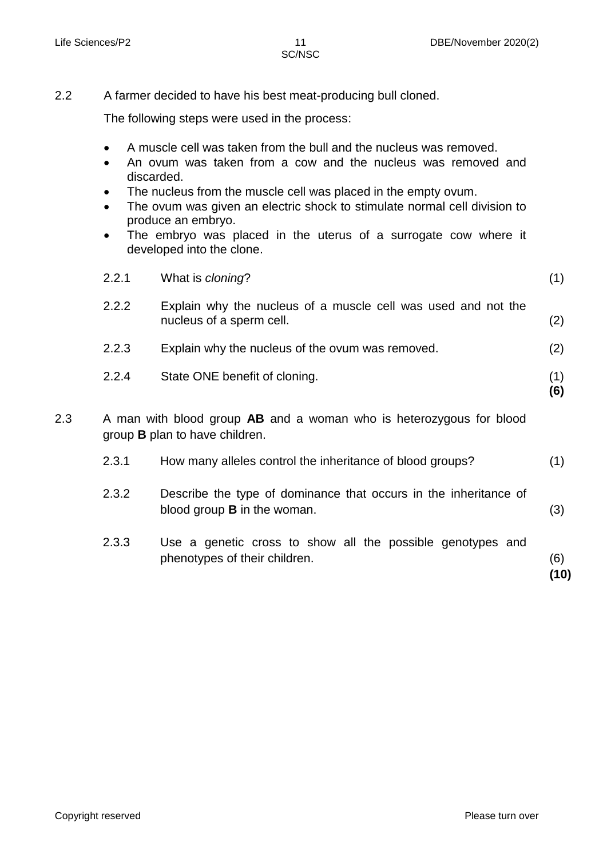2.2 A farmer decided to have his best meat-producing bull cloned.

The following steps were used in the process:

- A muscle cell was taken from the bull and the nucleus was removed.
- An ovum was taken from a cow and the nucleus was removed and discarded.
- The nucleus from the muscle cell was placed in the empty ovum.
- The ovum was given an electric shock to stimulate normal cell division to produce an embryo.
- The embryo was placed in the uterus of a surrogate cow where it developed into the clone.

|     | 2.2.1 | What is cloning?                                                                                                    | (1)         |
|-----|-------|---------------------------------------------------------------------------------------------------------------------|-------------|
|     | 2.2.2 | Explain why the nucleus of a muscle cell was used and not the<br>nucleus of a sperm cell.                           | (2)         |
|     | 2.2.3 | Explain why the nucleus of the ovum was removed.                                                                    | (2)         |
|     | 2.2.4 | State ONE benefit of cloning.                                                                                       | (1)<br>(6)  |
| 2.3 |       | A man with blood group <b>AB</b> and a woman who is heterozygous for blood<br>group <b>B</b> plan to have children. |             |
|     | 2.3.1 | How many alleles control the inheritance of blood groups?                                                           | (1)         |
|     | 2.3.2 | Describe the type of dominance that occurs in the inheritance of<br>blood group <b>B</b> in the woman.              | (3)         |
|     | 2.3.3 | Use a genetic cross to show all the possible genotypes and<br>phenotypes of their children.                         | (6)<br>(10) |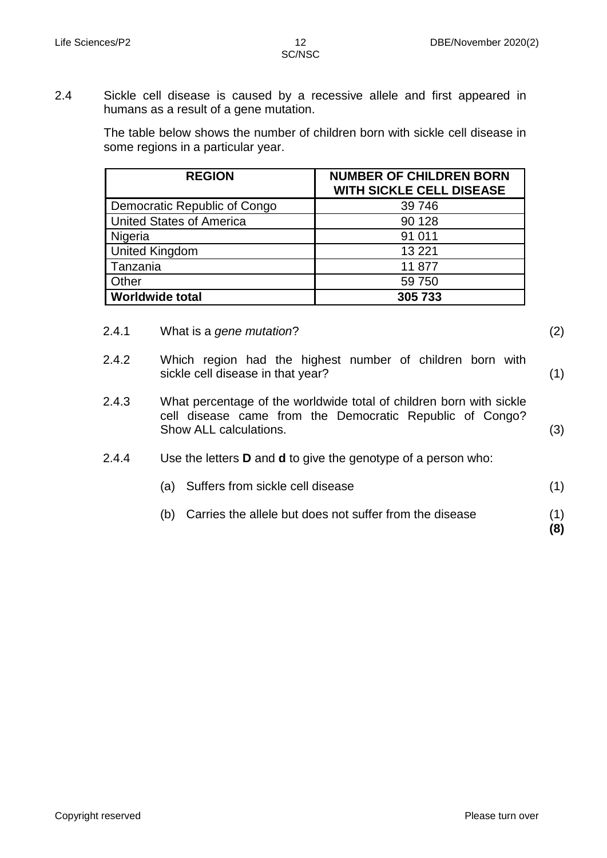(2)

(3)

**(8)**

2.4 Sickle cell disease is caused by a recessive allele and first appeared in humans as a result of a gene mutation.

> The table below shows the number of children born with sickle cell disease in some regions in a particular year.

| <b>REGION</b>                   | <b>NUMBER OF CHILDREN BORN</b><br><b>WITH SICKLE CELL DISEASE</b> |
|---------------------------------|-------------------------------------------------------------------|
| Democratic Republic of Congo    | 39 746                                                            |
| <b>United States of America</b> | 90 128                                                            |
| Nigeria                         | 91 011                                                            |
| <b>United Kingdom</b>           | 13 2 21                                                           |
| Tanzania                        | 11877                                                             |
| Other                           | 59 750                                                            |
| <b>Worldwide total</b>          | 305 733                                                           |

- 2.4.1 What is a *gene mutation*?
- 2.4.2 Which region had the highest number of children born with sickle cell disease in that year? (1)
- 2.4.3 What percentage of the worldwide total of children born with sickle cell disease came from the Democratic Republic of Congo? Show ALL calculations.
- 2.4.4 Use the letters **D** and **d** to give the genotype of a person who:
	- (a) Suffers from sickle cell disease (1)
	- (b) Carries the allele but does not suffer from the disease (1)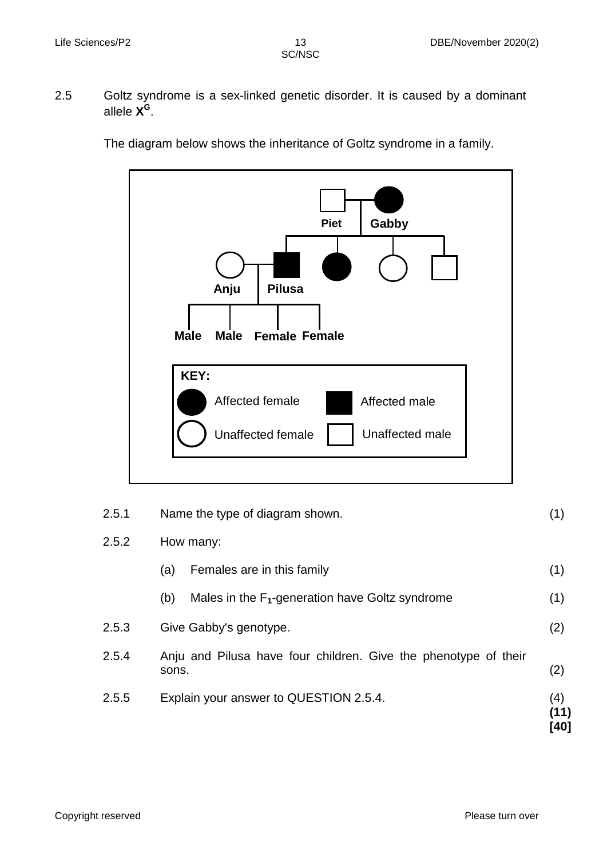2.5 Goltz syndrome is a sex-linked genetic disorder. It is caused by a dominant allele **X G** .

The diagram below shows the inheritance of Goltz syndrome in a family.



| 2.5.1 | Name the type of diagram shown.                                          |                     |
|-------|--------------------------------------------------------------------------|---------------------|
| 2.5.2 | How many:                                                                |                     |
|       | Females are in this family<br>(a)                                        | (1)                 |
|       | Males in the $F_1$ -generation have Goltz syndrome<br>(b)                | (1)                 |
| 2.5.3 | Give Gabby's genotype.                                                   | (2)                 |
| 2.5.4 | Anju and Pilusa have four children. Give the phenotype of their<br>sons. | (2)                 |
| 2.5.5 | Explain your answer to QUESTION 2.5.4.                                   | (4)<br>(11)<br>[40] |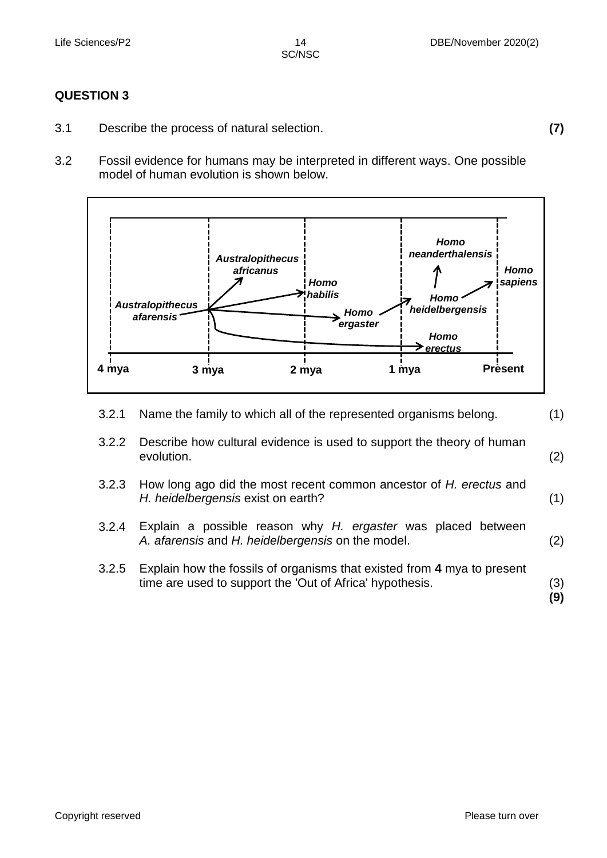# **QUESTION 3**

- 3.1 Describe the process of natural selection. **(7)**
- 3.2 Fossil evidence for humans may be interpreted in different ways. One possible model of human evolution is shown below.



3.2.1 3.2.2 3.2.3 Name the family to which all of the represented organisms belong. Describe how cultural evidence is used to support the theory of human evolution. How long ago did the most recent common ancestor of *H. erectus* and *H. heidelbergensis* exist on earth? (1) (2) (1) 3.2.4 3.2.5 Explain a possible reason why *H. ergaster* was placed between *A. afarensis* and *H. heidelbergensis* on the model. Explain how the fossils of organisms that existed from **4** mya to present time are used to support the 'Out of Africa' hypothesis. (2) (3) **(9)**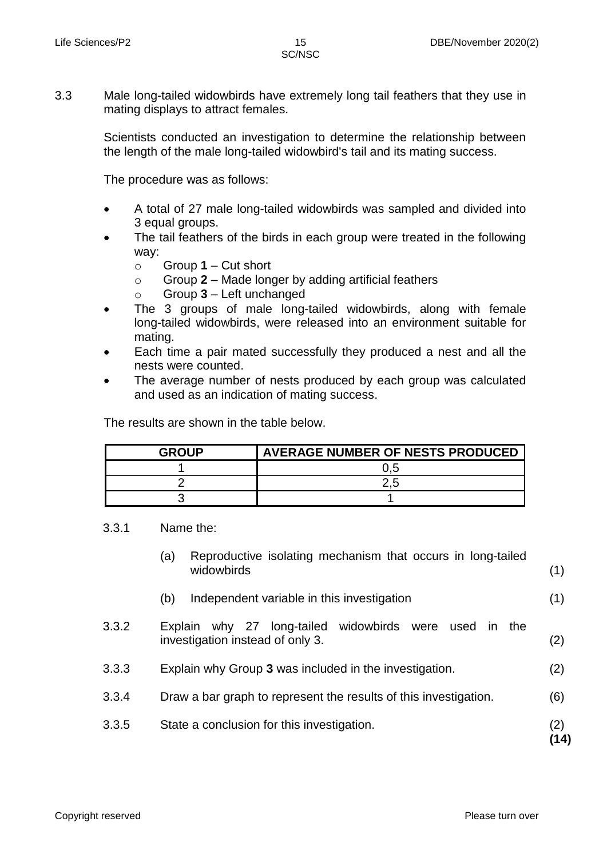3.3 Male long-tailed widowbirds have extremely long tail feathers that they use in mating displays to attract females.

> Scientists conducted an investigation to determine the relationship between the length of the male long-tailed widowbird's tail and its mating success.

The procedure was as follows:

- A total of 27 male long-tailed widowbirds was sampled and divided into 3 equal groups.
- The tail feathers of the birds in each group were treated in the following way:
	- o Group **1** Cut short
	- o Group **2** Made longer by adding artificial feathers
	- o Group **3** Left unchanged
- The 3 groups of male long-tailed widowbirds, along with female long-tailed widowbirds, were released into an environment suitable for mating.
- Each time a pair mated successfully they produced a nest and all the nests were counted.
- The average number of nests produced by each group was calculated and used as an indication of mating success.

The results are shown in the table below.

| GROUP | <b>AVERAGE NUMBER OF NESTS PRODUCED</b> |
|-------|-----------------------------------------|
|       | 0.5                                     |
|       |                                         |
|       |                                         |

3.3.1 Name the:

- (a) Reproductive isolating mechanism that occurs in long-tailed widowbirds (1)
- (b) Independent variable in this investigation (1)
- 3.3.2 Explain why 27 long-tailed widowbirds were used in the investigation instead of only 3. (2)
- 3.3.3 Explain why Group **3** was included in the investigation. (2)
- 3.3.4 Draw a bar graph to represent the results of this investigation. (6)
- 3.3.5 State a conclusion for this investigation. (2)

**(14)**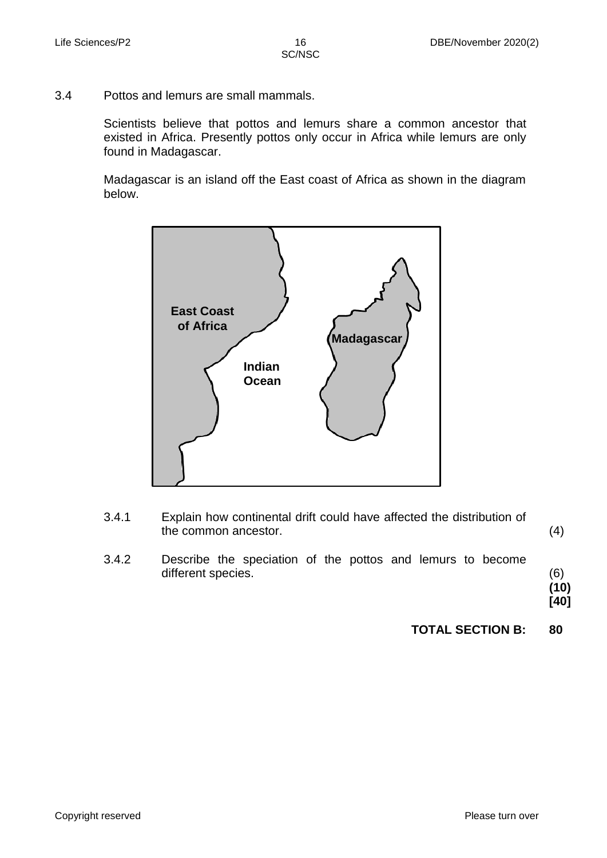3.4 Pottos and lemurs are small mammals.

Scientists believe that pottos and lemurs share a common ancestor that existed in Africa. Presently pottos only occur in Africa while lemurs are only found in Madagascar.

Madagascar is an island off the East coast of Africa as shown in the diagram below.



- 3.4.1 Explain how continental drift could have affected the distribution of the common ancestor. (4)
- 3.4.2 Describe the speciation of the pottos and lemurs to become different species.

(6) **(10) [40]**

**TOTAL SECTION B: 80**